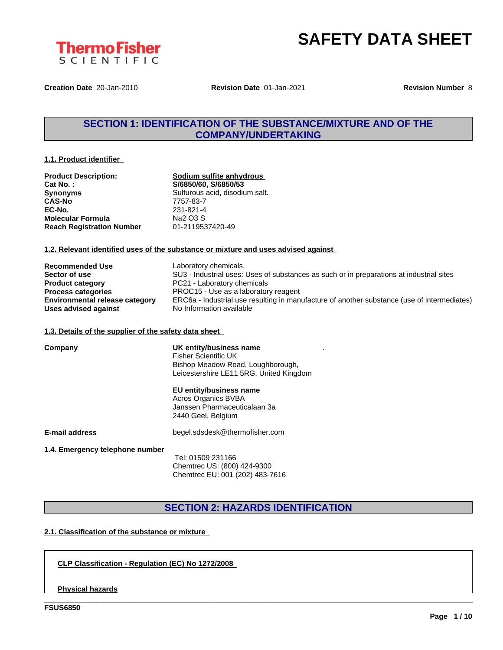



**Creation Date** 20-Jan-2010 **Revision Date** 01-Jan-2021 **Revision Number** 8

## **SECTION 1: IDENTIFICATION OF THE SUBSTANCE/MIXTURE AND OF THE COMPANY/UNDERTAKING**

#### **1.1. Product identifier**

| <b>Product Description:</b>      |  |
|----------------------------------|--|
| <b>Cat No.:</b>                  |  |
| <b>Synonyms</b>                  |  |
| <b>CAS-No</b>                    |  |
| EC-No.                           |  |
| <b>Molecular Formula</b>         |  |
| <b>Reach Registration Number</b> |  |

**<u>Sodium sulfite anhydrous</u> Cat No. : S/6850/60, S/6850/53** Sulfurous acid, disodium salt. **CAS-No** 7757-83-7 **EC-No.** 231-821-4 **Na2 O3 S Reach Registration Number** 01-2119537420-49

#### **1.2. Relevant identified uses of the substance or mixture and uses advised against**

| <b>Recommended Use</b>                | Laboratory chemicals.                                                                       |
|---------------------------------------|---------------------------------------------------------------------------------------------|
| Sector of use                         | SU3 - Industrial uses: Uses of substances as such or in preparations at industrial sites    |
| <b>Product category</b>               | PC21 - Laboratory chemicals                                                                 |
| <b>Process categories</b>             | PROC15 - Use as a laboratory reagent                                                        |
| <b>Environmental release category</b> | ERC6a - Industrial use resulting in manufacture of another substance (use of intermediates) |
| Uses advised against                  | No Information available                                                                    |

#### **1.3. Details of the supplier of the safety data sheet**

| Company                         | UK entity/business name<br><b>Fisher Scientific UK</b><br>Bishop Meadow Road, Loughborough,<br>Leicestershire LE11 5RG, United Kingdom |
|---------------------------------|----------------------------------------------------------------------------------------------------------------------------------------|
|                                 | EU entity/business name<br>Acros Organics BVBA<br>Janssen Pharmaceuticalaan 3a<br>2440 Geel, Belgium                                   |
| E-mail address                  | begel.sdsdesk@thermofisher.com                                                                                                         |
| 1.4. Emergency telephone number | Tel: 01509 231166<br>Chemtrec US: (800) 424-9300                                                                                       |

# **SECTION 2: HAZARDS IDENTIFICATION**

Chemtrec EU: 001 (202) 483-7616

\_\_\_\_\_\_\_\_\_\_\_\_\_\_\_\_\_\_\_\_\_\_\_\_\_\_\_\_\_\_\_\_\_\_\_\_\_\_\_\_\_\_\_\_\_\_\_\_\_\_\_\_\_\_\_\_\_\_\_\_\_\_\_\_\_\_\_\_\_\_\_\_\_\_\_\_\_\_\_\_\_\_\_\_\_\_\_\_\_\_\_\_\_\_

### **2.1. Classification of the substance or mixture**

**CLP Classification - Regulation (EC) No 1272/2008**

#### **Physical hazards**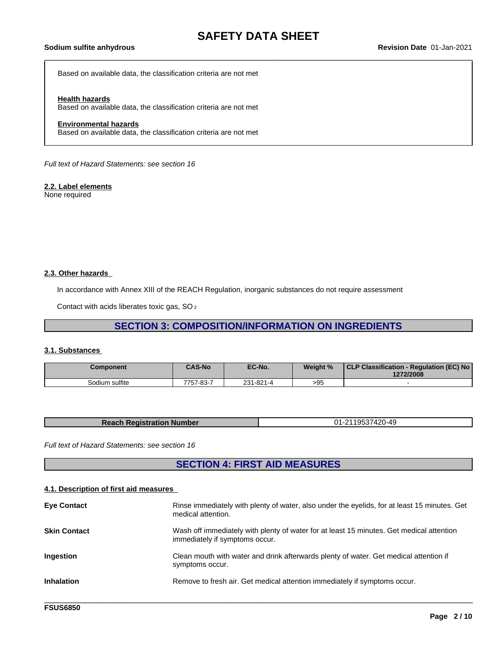Based on available data, the classification criteria are not met

#### **Health hazards**

Based on available data, the classification criteria are not met

#### **Environmental hazards**

Based on available data, the classification criteria are not met

*Full text of Hazard Statements: see section 16*

#### **2.2. Label elements**

None required

#### **2.3. Other hazards**

In accordance with Annex XIII of the REACH Regulation, inorganic substances do not require assessment

Contact with acids liberates toxic gas, SO<sub>2</sub>

## **SECTION 3: COMPOSITION/INFORMATION ON INGREDIENTS**

#### **3.1. Substances**

| Component      | <b>CAS-No</b> | EC-No.    | Weight %      | CLP Classification - Regulation (EC) No<br>1272/2008 |
|----------------|---------------|-----------|---------------|------------------------------------------------------|
| Sodium sulfite | 7757-83-7     | 231-821-4 | $\sim$<br>>⊎ะ |                                                      |

| <b>Reach Registration Number</b> | -2119537420-49<br>01-2<br>. |
|----------------------------------|-----------------------------|

*Full text of Hazard Statements: see section 16*

# **SECTION 4: FIRST AID MEASURES**

#### **4.1. Description of first aid measures**

| <b>Eye Contact</b>  | Rinse immediately with plenty of water, also under the eyelids, for at least 15 minutes. Get<br>medical attention.         |
|---------------------|----------------------------------------------------------------------------------------------------------------------------|
| <b>Skin Contact</b> | Wash off immediately with plenty of water for at least 15 minutes. Get medical attention<br>immediately if symptoms occur. |
| <b>Ingestion</b>    | Clean mouth with water and drink afterwards plenty of water. Get medical attention if<br>symptoms occur.                   |
| <b>Inhalation</b>   | Remove to fresh air. Get medical attention immediately if symptoms occur.                                                  |
|                     |                                                                                                                            |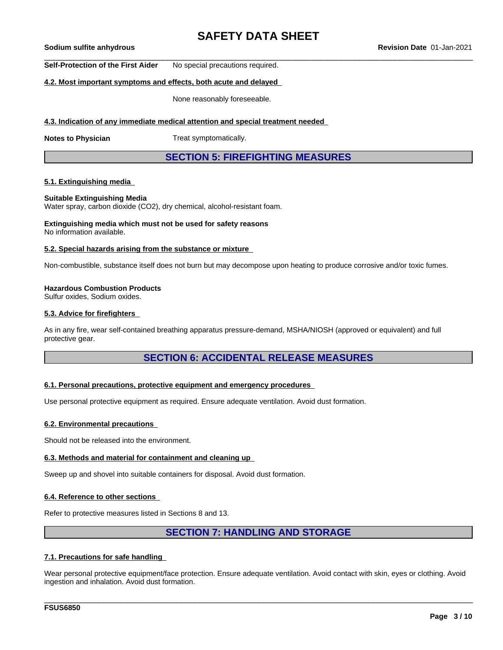**Self-Protection of the First Aider** No special precautions required.

### **4.2. Most important symptoms and effects, both acute and delayed**

None reasonably foreseeable.

#### **4.3. Indication of any immediate medical attention and special treatment needed**

**Notes to Physician** Treat symptomatically.

### **SECTION 5: FIREFIGHTING MEASURES**

#### **5.1. Extinguishing media**

#### **Suitable Extinguishing Media**

Water spray, carbon dioxide (CO2), dry chemical, alcohol-resistant foam.

#### **Extinguishing media which must not be used for safety reasons** No information available.

#### **5.2. Special hazards arising from the substance or mixture**

Non-combustible, substance itself does not burn but may decompose upon heating to produce corrosive and/or toxic fumes.

#### **Hazardous Combustion Products**

Sulfur oxides, Sodium oxides.

#### **5.3. Advice for firefighters**

As in any fire, wear self-contained breathing apparatus pressure-demand, MSHA/NIOSH (approved or equivalent) and full protective gear.

### **SECTION 6: ACCIDENTAL RELEASE MEASURES**

#### **6.1. Personal precautions, protective equipment and emergency procedures**

Use personal protective equipment as required.Ensure adequate ventilation. Avoid dust formation.

#### **6.2. Environmental precautions**

Should not be released into the environment.

#### **6.3. Methods and material for containment and cleaning up**

Sweep up and shovel into suitable containers for disposal. Avoid dust formation.

#### **6.4. Reference to other sections**

Refer to protective measures listed in Sections 8 and 13.

### **SECTION 7: HANDLING AND STORAGE**

#### **7.1. Precautions for safe handling**

Wear personal protective equipment/face protection. Ensure adequate ventilation. Avoid contact with skin, eyes or clothing. Avoid ingestion and inhalation. Avoid dust formation.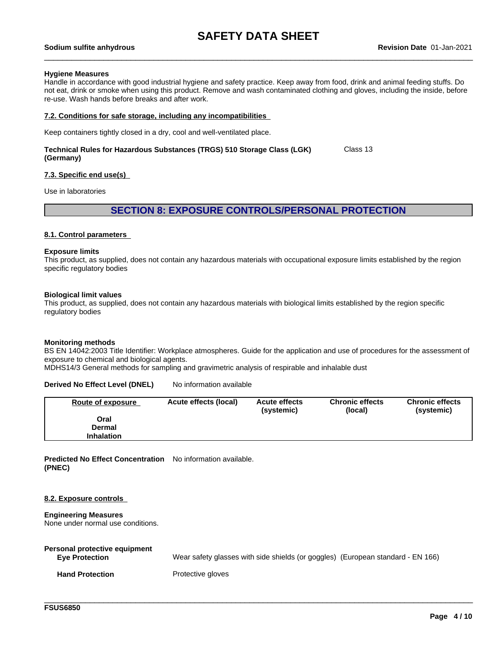#### **Hygiene Measures**

Handle in accordance with good industrial hygiene and safety practice. Keep away from food, drink and animal feeding stuffs. Do not eat, drink or smoke when using this product. Remove and wash contaminated clothing and gloves, including the inside, before re-use. Wash hands before breaks and after work.

#### **7.2. Conditions for safe storage, including any incompatibilities**

Keep containers tightly closed in a dry, cool and well-ventilated place.

#### **Technical Rules for Hazardous Substances (TRGS) 510 Storage Class (LGK) (Germany)** Class 13

#### **7.3. Specific end use(s)**

Use in laboratories

### **SECTION 8: EXPOSURE CONTROLS/PERSONAL PROTECTION**

### **8.1. Control parameters**

#### **Exposure limits**

This product, as supplied, does not contain any hazardous materials with occupational exposure limits established by the region specific regulatory bodies

#### **Biological limit values**

This product, as supplied, does not contain any hazardous materials with biological limits established by the region specific regulatory bodies

#### **Monitoring methods**

BS EN 14042:2003 Title Identifier: Workplace atmospheres. Guide for the application and use of procedures for the assessment of exposure to chemical and biological agents.

MDHS14/3 General methods for sampling and gravimetric analysis of respirable and inhalable dust

#### **Derived No Effect Level (DNEL)** No information available

| <b>Route of exposure</b> | Acute effects (local) | <b>Acute effects</b><br>(systemic) | <b>Chronic effects</b><br>(local) | <b>Chronic effects</b><br>(systemic) |
|--------------------------|-----------------------|------------------------------------|-----------------------------------|--------------------------------------|
| Oral                     |                       |                                    |                                   |                                      |
| <b>Dermal</b>            |                       |                                    |                                   |                                      |
| <b>Inhalation</b>        |                       |                                    |                                   |                                      |

**Predicted No Effect Concentration** No information available. **(PNEC)**

#### **8.2. Exposure controls**

#### **Engineering Measures**

None under normal use conditions.

| Personal protective equipment<br><b>Eve Protection</b> | Wear safety glasses with side shields (or goggles) (European standard - EN 166) |
|--------------------------------------------------------|---------------------------------------------------------------------------------|
| <b>Hand Protection</b>                                 | Protective gloves                                                               |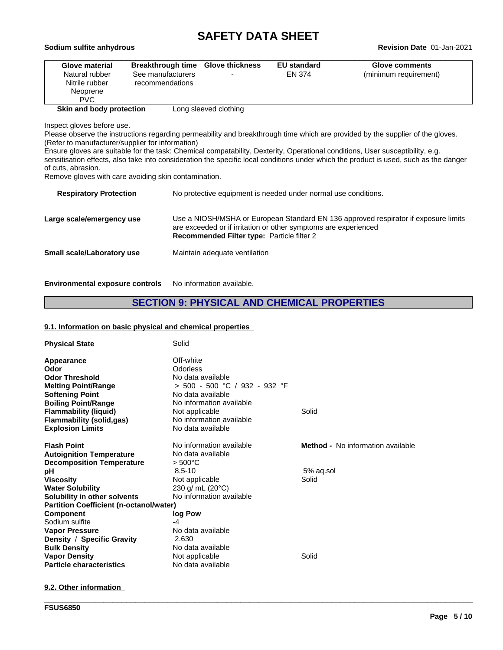| Sodium sulfite anhydrous                                                            |                                                                           |                       | <b>Revision Date 01-Jan-2021</b> |                                         |  |
|-------------------------------------------------------------------------------------|---------------------------------------------------------------------------|-----------------------|----------------------------------|-----------------------------------------|--|
| <b>Glove material</b><br>Natural rubber<br>Nitrile rubber<br>Neoprene<br><b>PVC</b> | Breakthrough time Glove thickness<br>See manufacturers<br>recommendations |                       | <b>EU standard</b><br>EN 374     | Glove comments<br>(minimum requirement) |  |
| Skin and body protection                                                            |                                                                           | Long sleeved clothing |                                  |                                         |  |

Inspect gloves before use.

Please observe the instructions regarding permeability and breakthrough time which are provided by the supplier of the gloves. (Refer to manufacturer/supplier for information)

Ensure gloves are suitable for the task: Chemical compatability, Dexterity, Operational conditions, User susceptibility, e.g. sensitisation effects, also take into consideration the specific local conditions under which the product is used, such as the danger of cuts, abrasion.

Remove gloves with care avoiding skin contamination.

| <b>Respiratory Protection</b> | No protective equipment is needed under normal use conditions.                                                                                                                                              |
|-------------------------------|-------------------------------------------------------------------------------------------------------------------------------------------------------------------------------------------------------------|
| Large scale/emergency use     | Use a NIOSH/MSHA or European Standard EN 136 approved respirator if exposure limits<br>are exceeded or if irritation or other symptoms are experienced<br><b>Recommended Filter type: Particle filter 2</b> |
| Small scale/Laboratory use    | Maintain adequate ventilation                                                                                                                                                                               |

**Environmental exposure controls** No information available.

## **SECTION 9: PHYSICAL AND CHEMICAL PROPERTIES**

#### **9.1. Information on basic physical and chemical properties**

| <b>Physical State</b>                          | Solid                           |                                          |
|------------------------------------------------|---------------------------------|------------------------------------------|
| Appearance                                     | Off-white                       |                                          |
| Odor                                           | Odorless                        |                                          |
| <b>Odor Threshold</b>                          | No data available               |                                          |
| <b>Melting Point/Range</b>                     | $> 500 - 500$ °C / 932 - 932 °F |                                          |
| <b>Softening Point</b>                         | No data available               |                                          |
| <b>Boiling Point/Range</b>                     | No information available        |                                          |
| <b>Flammability (liquid)</b>                   | Not applicable                  | Solid                                    |
| <b>Flammability (solid,gas)</b>                | No information available        |                                          |
| <b>Explosion Limits</b>                        | No data available               |                                          |
| <b>Flash Point</b>                             | No information available        | <b>Method -</b> No information available |
| <b>Autoignition Temperature</b>                | No data available               |                                          |
| <b>Decomposition Temperature</b>               | $> 500^{\circ}$ C               |                                          |
| рH                                             | $8.5 - 10$                      | 5% ag.sol                                |
| <b>Viscosity</b>                               | Not applicable                  | Solid                                    |
| <b>Water Solubility</b>                        | 230 g/ mL (20°C)                |                                          |
| Solubility in other solvents                   | No information available        |                                          |
| <b>Partition Coefficient (n-octanol/water)</b> |                                 |                                          |
| <b>Component</b>                               | log Pow                         |                                          |
| Sodium sulfite                                 | -4                              |                                          |
| <b>Vapor Pressure</b>                          | No data available               |                                          |
| Density / Specific Gravity                     | 2.630                           |                                          |
| <b>Bulk Density</b>                            | No data available               |                                          |
| <b>Vapor Density</b>                           | Not applicable                  | Solid                                    |
| <b>Particle characteristics</b>                | No data available               |                                          |

\_\_\_\_\_\_\_\_\_\_\_\_\_\_\_\_\_\_\_\_\_\_\_\_\_\_\_\_\_\_\_\_\_\_\_\_\_\_\_\_\_\_\_\_\_\_\_\_\_\_\_\_\_\_\_\_\_\_\_\_\_\_\_\_\_\_\_\_\_\_\_\_\_\_\_\_\_\_\_\_\_\_\_\_\_\_\_\_\_\_\_\_\_\_

#### **9.2. Other information**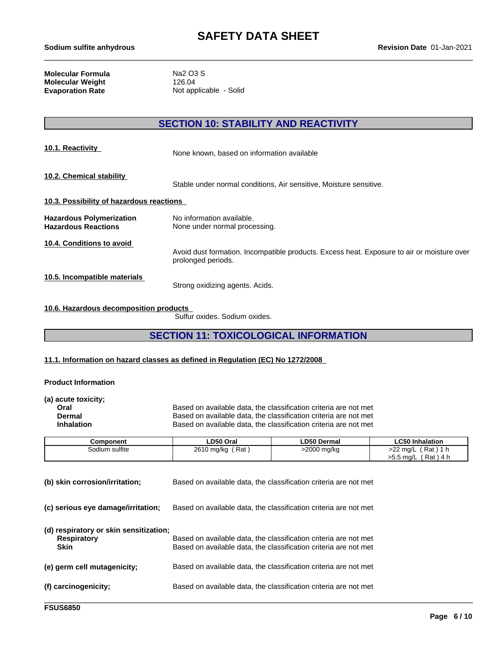**Molecular Formula** Na2 O3 S<br> **Molecular Weight** 126.04 **Molecular Weight Evaporation Rate** Not applicable - Solid

# **SECTION 10: STABILITY AND REACTIVITY**

| 10.1. Reactivity                                              | None known, based on information available                                                                       |
|---------------------------------------------------------------|------------------------------------------------------------------------------------------------------------------|
| 10.2. Chemical stability                                      | Stable under normal conditions, Air sensitive, Moisture sensitive.                                               |
| 10.3. Possibility of hazardous reactions                      |                                                                                                                  |
| <b>Hazardous Polymerization</b><br><b>Hazardous Reactions</b> | No information available.<br>None under normal processing.                                                       |
| 10.4. Conditions to avoid                                     | Avoid dust formation. Incompatible products. Excess heat. Exposure to air or moisture over<br>prolonged periods. |
| 10.5. Incompatible materials                                  | Strong oxidizing agents. Acids.                                                                                  |

### **10.6. Hazardous decomposition products**

Sulfur oxides. Sodium oxides.

# **SECTION 11: TOXICOLOGICAL INFORMATION**

### **11.1. Information on hazard classes as defined in Regulation (EC) No 1272/2008**

#### **Product Information**

| (a) acute toxicity; |                                                                  |
|---------------------|------------------------------------------------------------------|
| Oral                | Based on available data, the classification criteria are not met |
| Dermal              | Based on available data, the classification criteria are not met |
| <b>Inhalation</b>   | Based on available data, the classification criteria are not met |
|                     |                                                                  |

| Component      | <b>LD50 Oral</b>  | LD50 Dermal        | LC50 Inhalation              |
|----------------|-------------------|--------------------|------------------------------|
| Sodium sulfite | Rat<br>2610 mg/kg | >2000 mg/kg<br>. . | >22 mg/L<br>$'$ Rat,<br>- 11 |
|                |                   |                    | Rat)<br>>5.5 mg/L<br>`4 I    |

| (b) skin corrosion/irritation;                                              | Based on available data, the classification criteria are not met                                                                     |
|-----------------------------------------------------------------------------|--------------------------------------------------------------------------------------------------------------------------------------|
| (c) serious eye damage/irritation;                                          | Based on available data, the classification criteria are not met                                                                     |
| (d) respiratory or skin sensitization;<br><b>Respiratory</b><br><b>Skin</b> | Based on available data, the classification criteria are not met<br>Based on available data, the classification criteria are not met |
| (e) germ cell mutagenicity;                                                 | Based on available data, the classification criteria are not met                                                                     |
| (f) carcinogenicity;                                                        | Based on available data, the classification criteria are not met                                                                     |
|                                                                             |                                                                                                                                      |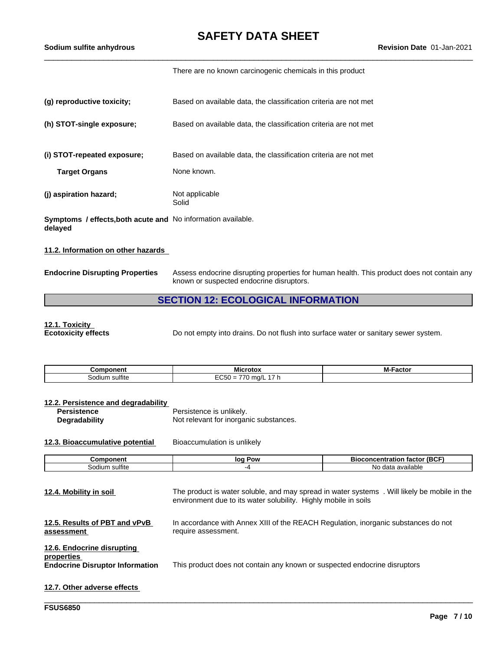There are no known carcinogenic chemicals in this product

| (g) reproductive toxicity;                                              | Based on available data, the classification criteria are not met                |
|-------------------------------------------------------------------------|---------------------------------------------------------------------------------|
| (h) STOT-single exposure;                                               | Based on available data, the classification criteria are not met                |
| (i) STOT-repeated exposure;<br><b>Target Organs</b>                     | Based on available data, the classification criteria are not met<br>None known. |
| (j) aspiration hazard;                                                  | Not applicable<br>Solid                                                         |
| Symptoms / effects, both acute and No information available.<br>delayed |                                                                                 |
| 11.2. Information on other hazards                                      |                                                                                 |

**Endocrine Disrupting Properties** Assess endocrine disrupting properties for human health. This product does not contain any known or suspected endocrine disruptors.

# **SECTION 12: ECOLOGICAL INFORMATION**

**12.1. Toxicity**

Do not empty into drains. Do not flush into surface water or sanitary sewer system.

| -------<br>onent                  | - - -<br>.<br>MK<br>-οτο.                                                | RЛ.<br>___<br>асто<br>- IVI. |
|-----------------------------------|--------------------------------------------------------------------------|------------------------------|
| $\cdots$<br>sulfite<br>.ഹി<br>ıum | __<br>.<br>$- - -$<br>ma/l<br>~'<br>-<br>$\overline{\phantom{0}}$<br>ັບປ |                              |

#### **12.2. Persistence and degradability**

| Persistence   | Persistence is unlikely.               |
|---------------|----------------------------------------|
| Degradability | Not relevant for inorganic substances. |

**12.3. Bioaccumulative potential** Bioaccumulation is unlikely

| nponent<br>⊶om∼   | Pow<br>loa | $- - -$<br>(BC)<br>ration<br>oconcent<br>тасто |
|-------------------|------------|------------------------------------------------|
| sulfite<br>sodium |            | available<br>No.<br>data                       |

| 12.4. Mobility in soil                                                             | The product is water soluble, and may spread in water systems. Will likely be mobile in the<br>environment due to its water solubility. Highly mobile in soils |
|------------------------------------------------------------------------------------|----------------------------------------------------------------------------------------------------------------------------------------------------------------|
| 12.5. Results of PBT and vPvB<br>assessment                                        | In accordance with Annex XIII of the REACH Regulation, inorganic substances do not<br>require assessment.                                                      |
| 12.6. Endocrine disrupting<br>properties<br><b>Endocrine Disruptor Information</b> | This product does not contain any known or suspected endocrine disruptors                                                                                      |
| 12.7. Other adverse effects                                                        |                                                                                                                                                                |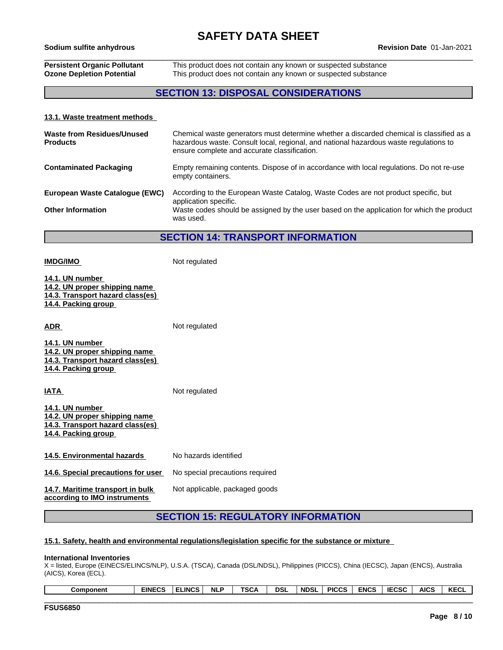# \_\_\_\_\_\_\_\_\_\_\_\_\_\_\_\_\_\_\_\_\_\_\_\_\_\_\_\_\_\_\_\_\_\_\_\_\_\_\_\_\_\_\_\_\_\_\_\_\_\_\_\_\_\_\_\_\_\_\_\_\_\_\_\_\_\_\_\_\_\_\_\_\_\_\_\_\_\_\_\_\_\_\_\_\_\_\_\_\_\_\_\_\_\_ **Sodium sulfite anhydrous Revision Date** 01-Jan-2021

**IMDG/IMO** Not regulated

**Persistent Organic Pollutant** This product does not contain any known or suspected substance **Ozone Depletion Potential** This product does not contain any known or suspected substance

### **SECTION 13: DISPOSAL CONSIDERATIONS**

#### **13.1. Waste treatment methods**

| Waste from Residues/Unused<br><b>Products</b> | Chemical waste generators must determine whether a discarded chemical is classified as a<br>hazardous waste. Consult local, regional, and national hazardous waste regulations to<br>ensure complete and accurate classification. |
|-----------------------------------------------|-----------------------------------------------------------------------------------------------------------------------------------------------------------------------------------------------------------------------------------|
| <b>Contaminated Packaging</b>                 | Empty remaining contents. Dispose of in accordance with local regulations. Do not re-use<br>empty containers.                                                                                                                     |
| European Waste Catalogue (EWC)                | According to the European Waste Catalog, Waste Codes are not product specific, but<br>application specific.                                                                                                                       |
| <b>Other Information</b>                      | Waste codes should be assigned by the user based on the application for which the product<br>was used.                                                                                                                            |

**SECTION 14: TRANSPORT INFORMATION**

**14.1. UN number 14.2. UN proper shipping name 14.3. Transport hazard class(es) 14.4. Packing group ADR** Not regulated **14.1. UN number 14.2. UN proper shipping name 14.3. Transport hazard class(es) 14.4. Packing group IATA** Not regulated **14.1. UN number 14.2. UN proper shipping name 14.3. Transport hazard class(es) 14.4. Packing group 14.5. Environmental hazards** No hazards identified **14.6. Special precautions for user** No special precautions required **14.7. Maritime transport in bulk according to IMO instruments** Not applicable, packaged goods

## **SECTION 15: REGULATORY INFORMATION**

#### **15.1. Safety, health and environmental regulations/legislation specific for the substance or mixture**

#### **International Inventories**

X = listed, Europe (EINECS/ELINCS/NLP), U.S.A. (TSCA), Canada (DSL/NDSL), Philippines (PICCS), China (IECSC), Japan (ENCS), Australia (AICS), Korea (ECL).

| KECL<br><b>AICS</b><br>5000<br><b>DSL</b><br><b>ENCS</b><br><b>PICCS</b><br>' NDSL<br><br>wal |
|-----------------------------------------------------------------------------------------------|
|-----------------------------------------------------------------------------------------------|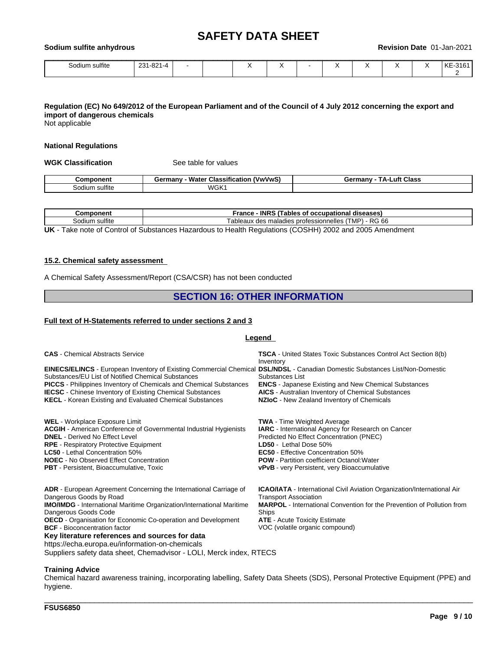| Sodiu<br>sulfite anhvdrous ا<br>um |           |  |  |  |  |  | Revision Date 01-Jan-2021 |  |  |  |         |  |
|------------------------------------|-----------|--|--|--|--|--|---------------------------|--|--|--|---------|--|
| Sodium sulfite                     | 231-821-4 |  |  |  |  |  |                           |  |  |  | KE-3161 |  |

### Regulation (EC) No 649/2012 of the European Parliament and of the Council of 4 July 2012 concerning the export and **import of dangerous chemicals**

Not applicable

#### **National Regulations**

**WGK Classification** See table for values

| .                           | ---<br>۱۸.<br>VwVwS<br>nanı<br>Classificatio<br>Watel<br>uu | --<br>Class<br>.uft<br>:armanv<br>ъ.<br>JUI 1110 |
|-----------------------------|-------------------------------------------------------------|--------------------------------------------------|
| $\cdots$<br>sultite<br>diun | <b>WGK</b>                                                  |                                                  |

| .<br>-----<br>วnen.           | <b>INRS</b><br>rance<br>diseases<br>occupation<br>rables<br>വ<br>на                                |
|-------------------------------|----------------------------------------------------------------------------------------------------|
| $\cdots$<br>sulfite<br>sodiur | DC.<br>66<br>professionnelles<br>$\mathbf{m}$<br>ableaux<br>maladies<br>des<br>. ∟MH<br><b>KI-</b> |
| __                            | __<br>.                                                                                            |

**UK** - Take note of Control of Substances Hazardous to Health Regulations (COSHH) 2002 and 2005 Amendment

#### **15.2. Chemical safety assessment**

A Chemical Safety Assessment/Report (CSA/CSR) has not been conducted

### **SECTION 16: OTHER INFORMATION**

### **Full text of H-Statements referred to undersections 2 and 3**

### **Legend**

| <b>CAS</b> - Chemical Abstracts Service                                                                                                                                                                                                                                                                                                                                                                                          | <b>TSCA</b> - United States Toxic Substances Control Act Section 8(b)<br>Inventory                                                                                                                                                                                                                                             |
|----------------------------------------------------------------------------------------------------------------------------------------------------------------------------------------------------------------------------------------------------------------------------------------------------------------------------------------------------------------------------------------------------------------------------------|--------------------------------------------------------------------------------------------------------------------------------------------------------------------------------------------------------------------------------------------------------------------------------------------------------------------------------|
| EINECS/ELINCS - European Inventory of Existing Commercial Chemical DSL/NDSL - Canadian Domestic Substances List/Non-Domestic<br>Substances/EU List of Notified Chemical Substances<br><b>PICCS</b> - Philippines Inventory of Chemicals and Chemical Substances<br><b>IECSC</b> - Chinese Inventory of Existing Chemical Substances<br><b>KECL</b> - Korean Existing and Evaluated Chemical Substances                           | Substances List<br><b>ENCS</b> - Japanese Existing and New Chemical Substances<br><b>AICS</b> - Australian Inventory of Chemical Substances<br>NZIoC - New Zealand Inventory of Chemicals                                                                                                                                      |
| <b>WEL</b> - Workplace Exposure Limit<br><b>ACGIH</b> - American Conference of Governmental Industrial Hygienists<br><b>DNEL</b> - Derived No Effect Level<br><b>RPE</b> - Respiratory Protective Equipment<br><b>LC50</b> - Lethal Concentration 50%<br><b>NOEC</b> - No Observed Effect Concentration<br><b>PBT</b> - Persistent, Bioaccumulative, Toxic                                                                       | <b>TWA</b> - Time Weighted Average<br><b>IARC</b> - International Agency for Research on Cancer<br>Predicted No Effect Concentration (PNEC)<br>LD50 - Lethal Dose 50%<br><b>EC50</b> - Effective Concentration 50%<br><b>POW</b> - Partition coefficient Octanol: Water<br><b>vPvB</b> - very Persistent, very Bioaccumulative |
| <b>ADR</b> - European Agreement Concerning the International Carriage of<br>Dangerous Goods by Road<br><b>IMO/IMDG</b> - International Maritime Organization/International Maritime<br>Dangerous Goods Code<br><b>OECD</b> - Organisation for Economic Co-operation and Development<br><b>BCF</b> - Bioconcentration factor<br>Key literature references and sources for data<br>https://echa.europa.eu/information-on-chemicals | <b>ICAO/IATA</b> - International Civil Aviation Organization/International Air<br><b>Transport Association</b><br><b>MARPOL</b> - International Convention for the Prevention of Pollution from<br>Ships<br><b>ATE</b> - Acute Toxicity Estimate<br>VOC (volatile organic compound)                                            |

Suppliers safety data sheet, Chemadvisor - LOLI, Merck index, RTECS

#### **Training Advice**

Chemical hazard awareness training, incorporating labelling, Safety Data Sheets (SDS), Personal Protective Equipment (PPE) and hygiene.